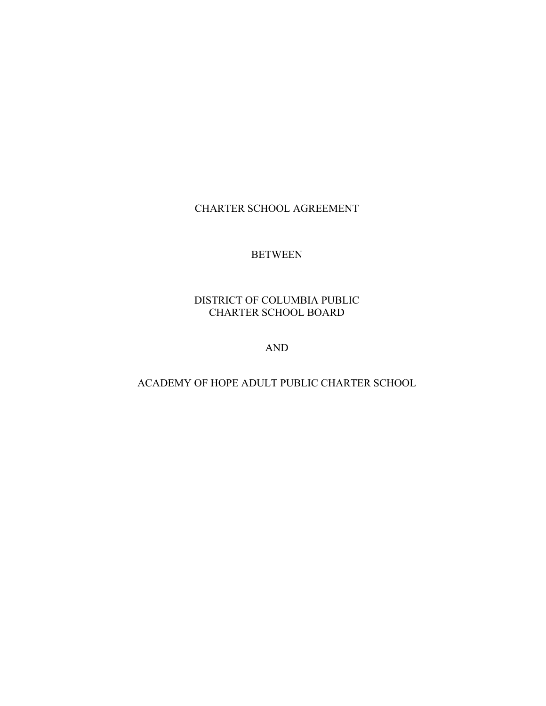### CHARTER SCHOOL AGREEMENT

#### BETWEEN

#### DISTRICT OF COLUMBIA PUBLIC CHARTER SCHOOL BOARD

AND

### ACADEMY OF HOPE ADULT PUBLIC CHARTER SCHOOL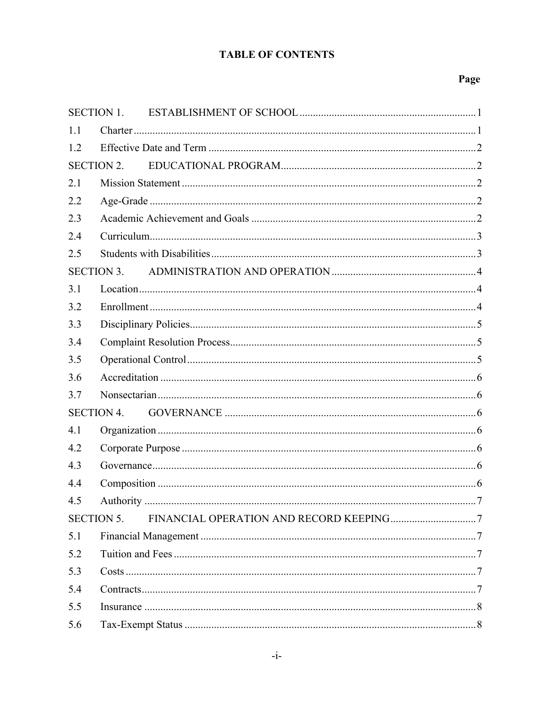### **TABLE OF CONTENTS**

| <b>SECTION 1.</b> |                   |  |  |
|-------------------|-------------------|--|--|
| 1.1               |                   |  |  |
| 1.2               |                   |  |  |
|                   | <b>SECTION 2.</b> |  |  |
| 2.1               |                   |  |  |
| 2.2               |                   |  |  |
| 2.3               |                   |  |  |
| 2.4               |                   |  |  |
| 2.5               |                   |  |  |
| <b>SECTION 3.</b> |                   |  |  |
| 3.1               |                   |  |  |
| 3.2               |                   |  |  |
| 3.3               |                   |  |  |
| 3.4               |                   |  |  |
| 3.5               |                   |  |  |
| 3.6               |                   |  |  |
| 3.7               |                   |  |  |
| <b>SECTION 4.</b> |                   |  |  |
| 4.1               |                   |  |  |
| 4.2               |                   |  |  |
| 4.3               |                   |  |  |
| 4.4               |                   |  |  |
| 4.5               |                   |  |  |
| <b>SECTION 5.</b> |                   |  |  |
| 5.1               |                   |  |  |
| 5.2               |                   |  |  |
| 5.3               |                   |  |  |
| 5.4               |                   |  |  |
| 5.5               |                   |  |  |
| 5.6               |                   |  |  |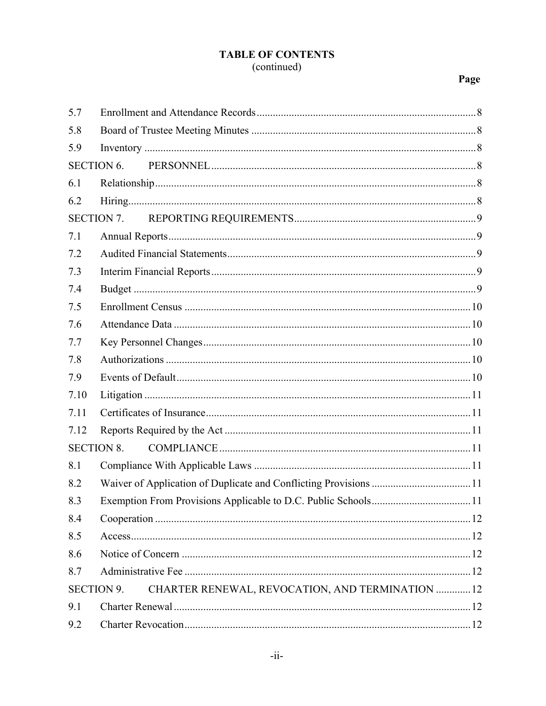# **TABLE OF CONTENTS**

# (continued)

| 5.7                                                                   |                                                                   |  |
|-----------------------------------------------------------------------|-------------------------------------------------------------------|--|
| 5.8                                                                   |                                                                   |  |
| 5.9                                                                   |                                                                   |  |
| <b>SECTION 6.</b>                                                     |                                                                   |  |
| 6.1                                                                   |                                                                   |  |
| 6.2                                                                   |                                                                   |  |
|                                                                       |                                                                   |  |
| 7.1                                                                   |                                                                   |  |
| 7.2                                                                   |                                                                   |  |
| 7.3                                                                   |                                                                   |  |
| 7.4                                                                   |                                                                   |  |
| 7.5                                                                   |                                                                   |  |
| 7.6                                                                   |                                                                   |  |
| 7.7                                                                   |                                                                   |  |
| 7.8                                                                   |                                                                   |  |
| 7.9                                                                   |                                                                   |  |
| 7.10                                                                  |                                                                   |  |
| 7.11                                                                  |                                                                   |  |
| 7.12                                                                  |                                                                   |  |
| <b>SECTION 8.</b>                                                     |                                                                   |  |
| 8.1                                                                   |                                                                   |  |
| 8.2                                                                   |                                                                   |  |
| 8.3                                                                   | Exemption From Provisions Applicable to D.C. Public Schools<br>11 |  |
| 8.4                                                                   |                                                                   |  |
| 8.5                                                                   |                                                                   |  |
| 8.6                                                                   |                                                                   |  |
| 8.7                                                                   |                                                                   |  |
| CHARTER RENEWAL, REVOCATION, AND TERMINATION  12<br><b>SECTION 9.</b> |                                                                   |  |
| 9.1                                                                   |                                                                   |  |
| 9.2                                                                   |                                                                   |  |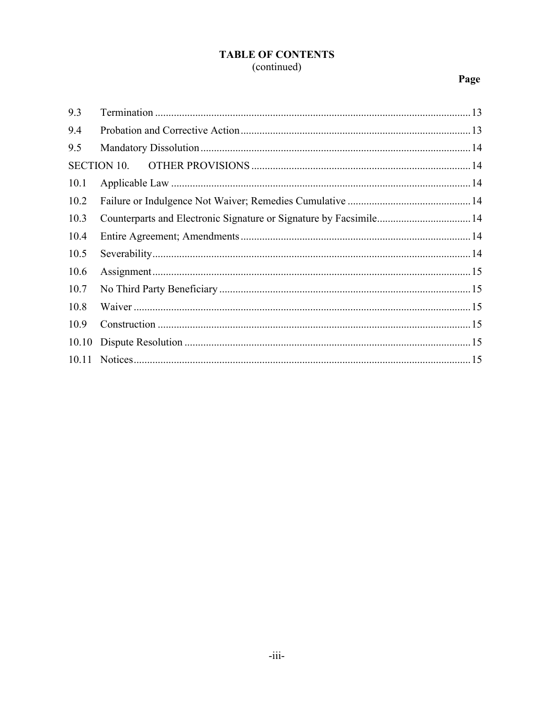### **TABLE OF CONTENTS** (continued)

| 9.3   |  |
|-------|--|
| 9.4   |  |
| 9.5   |  |
|       |  |
| 10.1  |  |
| 10.2  |  |
| 10.3  |  |
| 10.4  |  |
| 10.5  |  |
| 10.6  |  |
| 10.7  |  |
| 10.8  |  |
| 10.9  |  |
| 10.10 |  |
|       |  |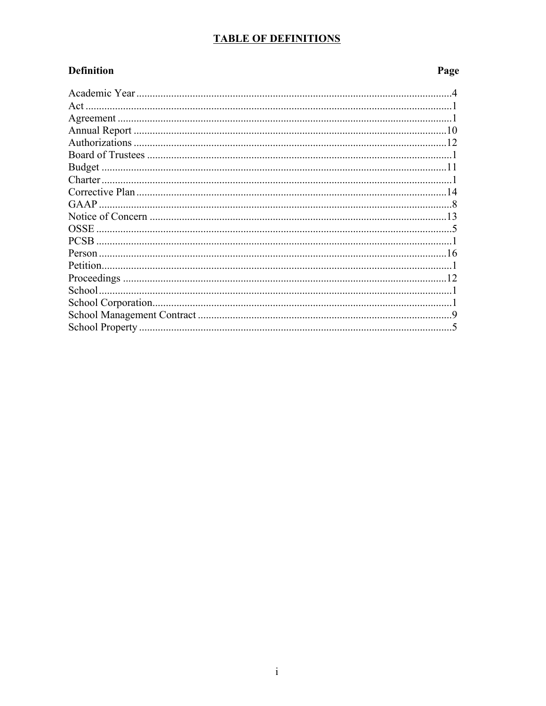### **TABLE OF DEFINITIONS**

### **Definition**

| Act         |  |
|-------------|--|
|             |  |
|             |  |
|             |  |
|             |  |
|             |  |
|             |  |
|             |  |
| GAAP        |  |
|             |  |
|             |  |
| <b>PCSB</b> |  |
|             |  |
| Petition.   |  |
|             |  |
|             |  |
|             |  |
|             |  |
|             |  |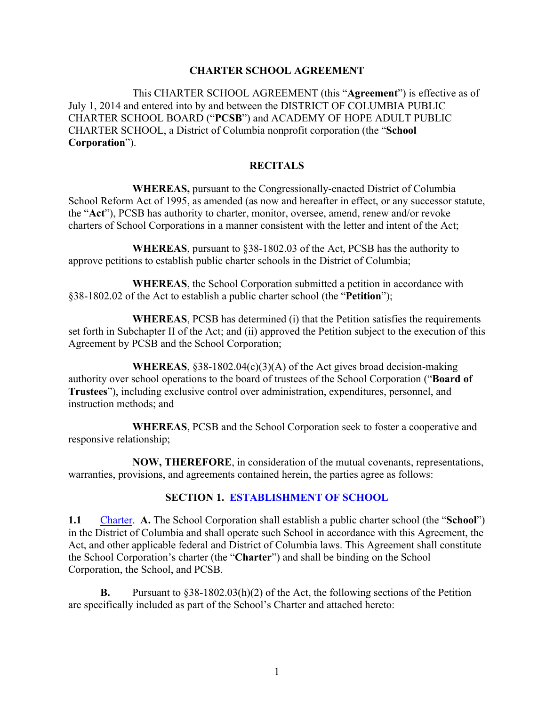#### **CHARTER SCHOOL AGREEMENT**

This CHARTER SCHOOL AGREEMENT (this "**Agreement**") is effective as of July 1, 2014 and entered into by and between the DISTRICT OF COLUMBIA PUBLIC CHARTER SCHOOL BOARD ("**PCSB**") and ACADEMY OF HOPE ADULT PUBLIC CHARTER SCHOOL, a District of Columbia nonprofit corporation (the "**School Corporation**").

#### **RECITALS**

**WHEREAS,** pursuant to the Congressionally-enacted District of Columbia School Reform Act of 1995, as amended (as now and hereafter in effect, or any successor statute, the "**Act**"), PCSB has authority to charter, monitor, oversee, amend, renew and/or revoke charters of School Corporations in a manner consistent with the letter and intent of the Act;

**WHEREAS**, pursuant to §38-1802.03 of the Act, PCSB has the authority to approve petitions to establish public charter schools in the District of Columbia;

**WHEREAS**, the School Corporation submitted a petition in accordance with §38-1802.02 of the Act to establish a public charter school (the "**Petition**");

**WHEREAS**, PCSB has determined (i) that the Petition satisfies the requirements set forth in Subchapter II of the Act; and (ii) approved the Petition subject to the execution of this Agreement by PCSB and the School Corporation;

**WHEREAS**, §38-1802.04(c)(3)(A) of the Act gives broad decision-making authority over school operations to the board of trustees of the School Corporation ("**Board of Trustees**"), including exclusive control over administration, expenditures, personnel, and instruction methods; and

**WHEREAS**, PCSB and the School Corporation seek to foster a cooperative and responsive relationship;

**NOW, THEREFORE**, in consideration of the mutual covenants, representations, warranties, provisions, and agreements contained herein, the parties agree as follows:

#### **SECTION 1. ESTABLISHMENT OF SCHOOL**

**1.1** Charter. **A.** The School Corporation shall establish a public charter school (the "**School**") in the District of Columbia and shall operate such School in accordance with this Agreement, the Act, and other applicable federal and District of Columbia laws. This Agreement shall constitute the School Corporation's charter (the "**Charter**") and shall be binding on the School Corporation, the School, and PCSB.

**B.** Pursuant to  $\S 38-1802.03(h)(2)$  of the Act, the following sections of the Petition are specifically included as part of the School's Charter and attached hereto: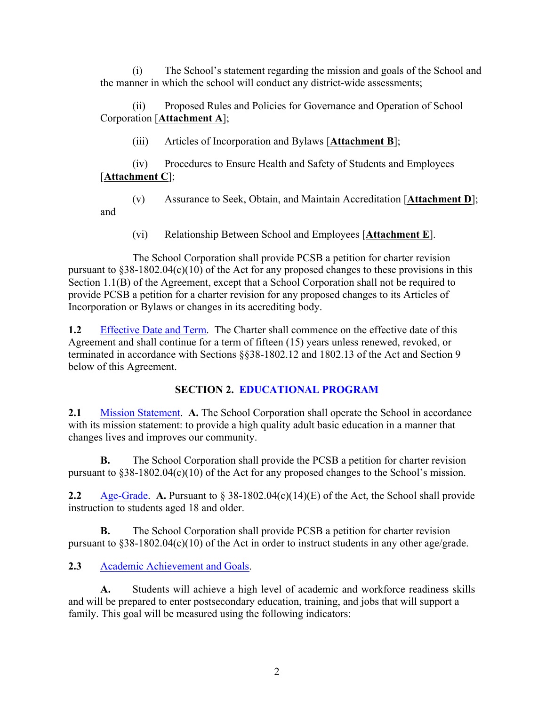(i) The School's statement regarding the mission and goals of the School and the manner in which the school will conduct any district-wide assessments;

(ii) Proposed Rules and Policies for Governance and Operation of School Corporation [**Attachment A**];

(iii) Articles of Incorporation and Bylaws [**Attachment B**];

(iv) Procedures to Ensure Health and Safety of Students and Employees [**Attachment C**];

(v) Assurance to Seek, Obtain, and Maintain Accreditation [**Attachment D**]; and

(vi) Relationship Between School and Employees [**Attachment E**].

The School Corporation shall provide PCSB a petition for charter revision pursuant to §38-1802.04(c)(10) of the Act for any proposed changes to these provisions in this Section 1.1(B) of the Agreement, except that a School Corporation shall not be required to provide PCSB a petition for a charter revision for any proposed changes to its Articles of Incorporation or Bylaws or changes in its accrediting body.

**1.2** Effective Date and Term. The Charter shall commence on the effective date of this Agreement and shall continue for a term of fifteen (15) years unless renewed, revoked, or terminated in accordance with Sections §§38-1802.12 and 1802.13 of the Act and Section 9 below of this Agreement.

### **SECTION 2. EDUCATIONAL PROGRAM**

**2.1** Mission Statement. **A.** The School Corporation shall operate the School in accordance with its mission statement: to provide a high quality adult basic education in a manner that changes lives and improves our community.

**B.** The School Corporation shall provide the PCSB a petition for charter revision pursuant to §38-1802.04(c)(10) of the Act for any proposed changes to the School's mission.

**2.2** Age-Grade. **A.** Pursuant to § 38-1802.04(c)(14)(E) of the Act, the School shall provide instruction to students aged 18 and older.

**B.** The School Corporation shall provide PCSB a petition for charter revision pursuant to §38-1802.04(c)(10) of the Act in order to instruct students in any other age/grade.

### **2.3** Academic Achievement and Goals.

**A.** Students will achieve a high level of academic and workforce readiness skills and will be prepared to enter postsecondary education, training, and jobs that will support a family. This goal will be measured using the following indicators: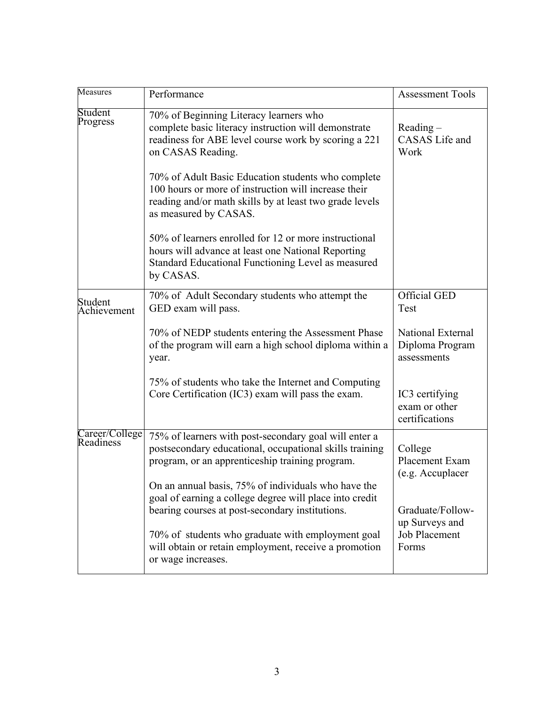| Measures                    | Performance                                                                                                                                                                                    | <b>Assessment Tools</b>                             |
|-----------------------------|------------------------------------------------------------------------------------------------------------------------------------------------------------------------------------------------|-----------------------------------------------------|
| Student<br>Progress         | 70% of Beginning Literacy learners who<br>complete basic literacy instruction will demonstrate<br>readiness for ABE level course work by scoring a 221<br>on CASAS Reading.                    | $Reading -$<br><b>CASAS</b> Life and<br>Work        |
|                             | 70% of Adult Basic Education students who complete<br>100 hours or more of instruction will increase their<br>reading and/or math skills by at least two grade levels<br>as measured by CASAS. |                                                     |
|                             | 50% of learners enrolled for 12 or more instructional<br>hours will advance at least one National Reporting<br>Standard Educational Functioning Level as measured<br>by CASAS.                 |                                                     |
| Student<br>Achievement      | 70% of Adult Secondary students who attempt the<br>GED exam will pass.                                                                                                                         | <b>Official GED</b><br>Test                         |
|                             | 70% of NEDP students entering the Assessment Phase<br>of the program will earn a high school diploma within a<br>year.                                                                         | National External<br>Diploma Program<br>assessments |
|                             | 75% of students who take the Internet and Computing<br>Core Certification (IC3) exam will pass the exam.                                                                                       | IC3 certifying<br>exam or other<br>certifications   |
| Career/College<br>Readiness | 75% of learners with post-secondary goal will enter a<br>postsecondary educational, occupational skills training<br>program, or an apprenticeship training program.                            | College<br>Placement Exam<br>(e.g. Accuplacer       |
|                             | On an annual basis, 75% of individuals who have the<br>goal of earning a college degree will place into credit<br>bearing courses at post-secondary institutions.                              | Graduate/Follow-<br>up Surveys and                  |
|                             | 70% of students who graduate with employment goal<br>will obtain or retain employment, receive a promotion<br>or wage increases.                                                               | <b>Job Placement</b><br>Forms                       |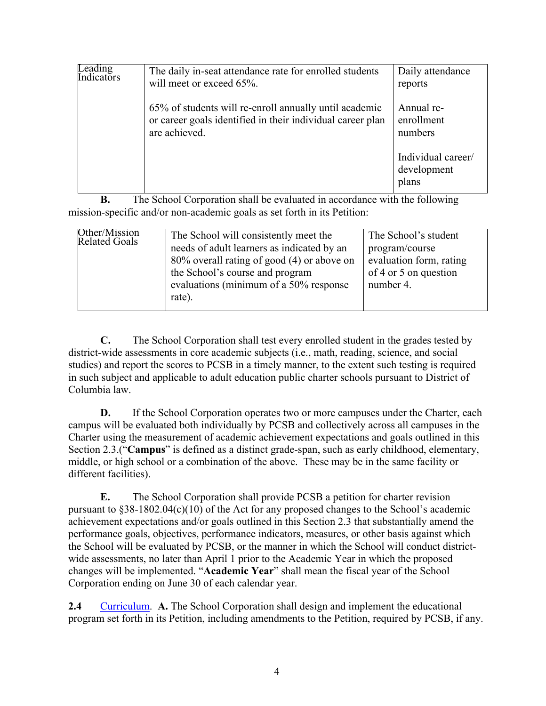| Leading<br>Indicators | The daily in-seat attendance rate for enrolled students<br>will meet or exceed 65%.                                                   | Daily attendance<br>reports                |
|-----------------------|---------------------------------------------------------------------------------------------------------------------------------------|--------------------------------------------|
|                       | 65% of students will re-enroll annually until academic<br>or career goals identified in their individual career plan<br>are achieved. | Annual re-<br>enrollment<br>numbers        |
|                       |                                                                                                                                       | Individual career/<br>development<br>plans |

**B.** The School Corporation shall be evaluated in accordance with the following mission-specific and/or non-academic goals as set forth in its Petition:

| Other/Mission<br>The School will consistently meet the<br>Related Goals<br>needs of adult learners as indicated by an<br>80% overall rating of good (4) or above on<br>the School's course and program<br>evaluations (minimum of a 50% response<br>rate). | The School's student<br>program/course<br>evaluation form, rating<br>of 4 or 5 on question<br>number 4. |
|------------------------------------------------------------------------------------------------------------------------------------------------------------------------------------------------------------------------------------------------------------|---------------------------------------------------------------------------------------------------------|
|------------------------------------------------------------------------------------------------------------------------------------------------------------------------------------------------------------------------------------------------------------|---------------------------------------------------------------------------------------------------------|

**C.** The School Corporation shall test every enrolled student in the grades tested by district-wide assessments in core academic subjects (i.e., math, reading, science, and social studies) and report the scores to PCSB in a timely manner, to the extent such testing is required in such subject and applicable to adult education public charter schools pursuant to District of Columbia law.

**D.** If the School Corporation operates two or more campuses under the Charter, each campus will be evaluated both individually by PCSB and collectively across all campuses in the Charter using the measurement of academic achievement expectations and goals outlined in this Section 2.3.("**Campus**" is defined as a distinct grade-span, such as early childhood, elementary, middle, or high school or a combination of the above. These may be in the same facility or different facilities).

**E.** The School Corporation shall provide PCSB a petition for charter revision pursuant to §38-1802.04(c)(10) of the Act for any proposed changes to the School's academic achievement expectations and/or goals outlined in this Section 2.3 that substantially amend the performance goals, objectives, performance indicators, measures, or other basis against which the School will be evaluated by PCSB, or the manner in which the School will conduct districtwide assessments, no later than April 1 prior to the Academic Year in which the proposed changes will be implemented. "**Academic Year**" shall mean the fiscal year of the School Corporation ending on June 30 of each calendar year.

**2.4** Curriculum. **A.** The School Corporation shall design and implement the educational program set forth in its Petition, including amendments to the Petition, required by PCSB, if any.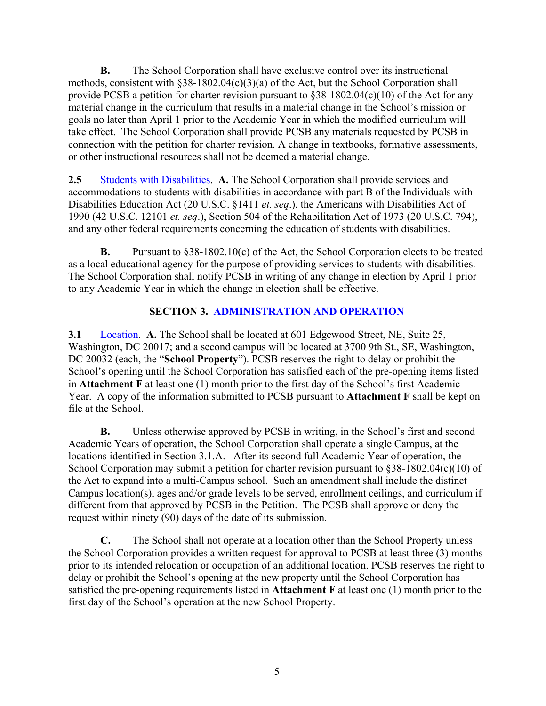**B.** The School Corporation shall have exclusive control over its instructional methods, consistent with §38-1802.04(c)(3)(a) of the Act, but the School Corporation shall provide PCSB a petition for charter revision pursuant to  $§38-1802.04(c)(10)$  of the Act for any material change in the curriculum that results in a material change in the School's mission or goals no later than April 1 prior to the Academic Year in which the modified curriculum will take effect. The School Corporation shall provide PCSB any materials requested by PCSB in connection with the petition for charter revision. A change in textbooks, formative assessments, or other instructional resources shall not be deemed a material change.

**2.5** Students with Disabilities. **A.** The School Corporation shall provide services and accommodations to students with disabilities in accordance with part B of the Individuals with Disabilities Education Act (20 U.S.C. §1411 *et. seq*.), the Americans with Disabilities Act of 1990 (42 U.S.C. 12101 *et. seq*.), Section 504 of the Rehabilitation Act of 1973 (20 U.S.C. 794), and any other federal requirements concerning the education of students with disabilities.

**B.** Pursuant to §38-1802.10(c) of the Act, the School Corporation elects to be treated as a local educational agency for the purpose of providing services to students with disabilities. The School Corporation shall notify PCSB in writing of any change in election by April 1 prior to any Academic Year in which the change in election shall be effective.

### **SECTION 3. ADMINISTRATION AND OPERATION**

**3.1** Location. **A.** The School shall be located at 601 Edgewood Street, NE, Suite 25, Washington, DC 20017; and a second campus will be located at 3700 9th St., SE, Washington, DC 20032 (each, the "**School Property**"). PCSB reserves the right to delay or prohibit the School's opening until the School Corporation has satisfied each of the pre-opening items listed in **Attachment F** at least one (1) month prior to the first day of the School's first Academic Year. A copy of the information submitted to PCSB pursuant to **Attachment F** shall be kept on file at the School.

**B.** Unless otherwise approved by PCSB in writing, in the School's first and second Academic Years of operation, the School Corporation shall operate a single Campus, at the locations identified in Section 3.1.A. After its second full Academic Year of operation, the School Corporation may submit a petition for charter revision pursuant to §38-1802.04(c)(10) of the Act to expand into a multi-Campus school. Such an amendment shall include the distinct Campus location(s), ages and/or grade levels to be served, enrollment ceilings, and curriculum if different from that approved by PCSB in the Petition. The PCSB shall approve or deny the request within ninety (90) days of the date of its submission.

**C.** The School shall not operate at a location other than the School Property unless the School Corporation provides a written request for approval to PCSB at least three (3) months prior to its intended relocation or occupation of an additional location. PCSB reserves the right to delay or prohibit the School's opening at the new property until the School Corporation has satisfied the pre-opening requirements listed in **Attachment F** at least one (1) month prior to the first day of the School's operation at the new School Property.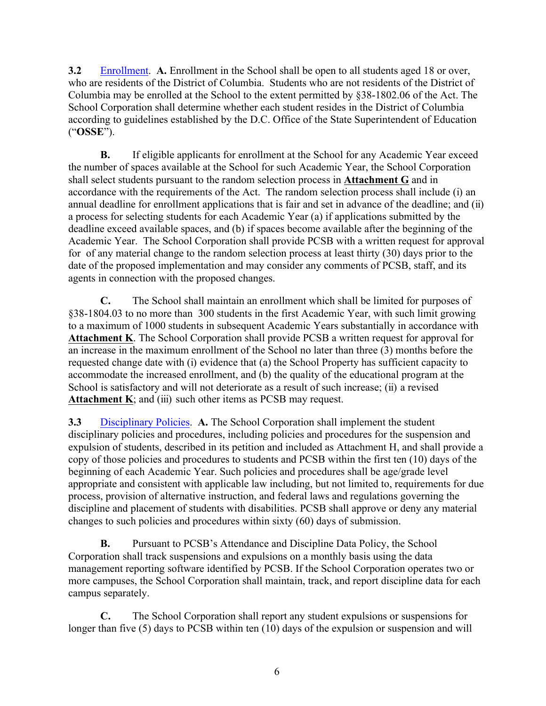**3.2** Enrollment. **A.** Enrollment in the School shall be open to all students aged 18 or over, who are residents of the District of Columbia. Students who are not residents of the District of Columbia may be enrolled at the School to the extent permitted by §38-1802.06 of the Act. The School Corporation shall determine whether each student resides in the District of Columbia according to guidelines established by the D.C. Office of the State Superintendent of Education ("**OSSE**").

**B.** If eligible applicants for enrollment at the School for any Academic Year exceed the number of spaces available at the School for such Academic Year, the School Corporation shall select students pursuant to the random selection process in **Attachment G** and in accordance with the requirements of the Act. The random selection process shall include (i) an annual deadline for enrollment applications that is fair and set in advance of the deadline; and (ii) a process for selecting students for each Academic Year (a) if applications submitted by the deadline exceed available spaces, and (b) if spaces become available after the beginning of the Academic Year. The School Corporation shall provide PCSB with a written request for approval for of any material change to the random selection process at least thirty (30) days prior to the date of the proposed implementation and may consider any comments of PCSB, staff, and its agents in connection with the proposed changes.

**C.** The School shall maintain an enrollment which shall be limited for purposes of §38-1804.03 to no more than 300 students in the first Academic Year, with such limit growing to a maximum of 1000 students in subsequent Academic Years substantially in accordance with **Attachment K**. The School Corporation shall provide PCSB a written request for approval for an increase in the maximum enrollment of the School no later than three (3) months before the requested change date with (i) evidence that (a) the School Property has sufficient capacity to accommodate the increased enrollment, and (b) the quality of the educational program at the School is satisfactory and will not deteriorate as a result of such increase; (ii) a revised **Attachment K**; and (iii) such other items as PCSB may request.

**3.3** Disciplinary Policies. **A.** The School Corporation shall implement the student disciplinary policies and procedures, including policies and procedures for the suspension and expulsion of students, described in its petition and included as Attachment H, and shall provide a copy of those policies and procedures to students and PCSB within the first ten (10) days of the beginning of each Academic Year. Such policies and procedures shall be age/grade level appropriate and consistent with applicable law including, but not limited to, requirements for due process, provision of alternative instruction, and federal laws and regulations governing the discipline and placement of students with disabilities. PCSB shall approve or deny any material changes to such policies and procedures within sixty (60) days of submission.

**B.** Pursuant to PCSB's Attendance and Discipline Data Policy, the School Corporation shall track suspensions and expulsions on a monthly basis using the data management reporting software identified by PCSB. If the School Corporation operates two or more campuses, the School Corporation shall maintain, track, and report discipline data for each campus separately.

**C.** The School Corporation shall report any student expulsions or suspensions for longer than five (5) days to PCSB within ten (10) days of the expulsion or suspension and will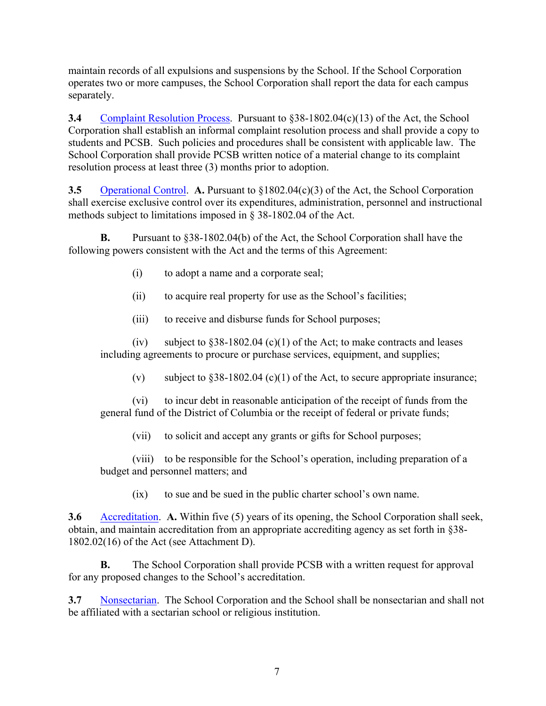maintain records of all expulsions and suspensions by the School. If the School Corporation operates two or more campuses, the School Corporation shall report the data for each campus separately.

**3.4** Complaint Resolution Process. Pursuant to §38-1802.04(c)(13) of the Act, the School Corporation shall establish an informal complaint resolution process and shall provide a copy to students and PCSB. Such policies and procedures shall be consistent with applicable law. The School Corporation shall provide PCSB written notice of a material change to its complaint resolution process at least three (3) months prior to adoption.

**3.5** Operational Control. **A.** Pursuant to §1802.04(c)(3) of the Act, the School Corporation shall exercise exclusive control over its expenditures, administration, personnel and instructional methods subject to limitations imposed in § 38-1802.04 of the Act.

**B.** Pursuant to §38-1802.04(b) of the Act, the School Corporation shall have the following powers consistent with the Act and the terms of this Agreement:

- (i) to adopt a name and a corporate seal;
- (ii) to acquire real property for use as the School's facilities;
- (iii) to receive and disburse funds for School purposes;

(iv) subject to  $§38-1802.04$  (c)(1) of the Act; to make contracts and leases including agreements to procure or purchase services, equipment, and supplies;

(v) subject to  $§38-1802.04$  (c)(1) of the Act, to secure appropriate insurance;

(vi) to incur debt in reasonable anticipation of the receipt of funds from the general fund of the District of Columbia or the receipt of federal or private funds;

(vii) to solicit and accept any grants or gifts for School purposes;

(viii) to be responsible for the School's operation, including preparation of a budget and personnel matters; and

(ix) to sue and be sued in the public charter school's own name.

**3.6** Accreditation. **A.** Within five (5) years of its opening, the School Corporation shall seek, obtain, and maintain accreditation from an appropriate accrediting agency as set forth in §38- 1802.02(16) of the Act (see Attachment D).

**B.** The School Corporation shall provide PCSB with a written request for approval for any proposed changes to the School's accreditation.

**3.7** Nonsectarian. The School Corporation and the School shall be nonsectarian and shall not be affiliated with a sectarian school or religious institution.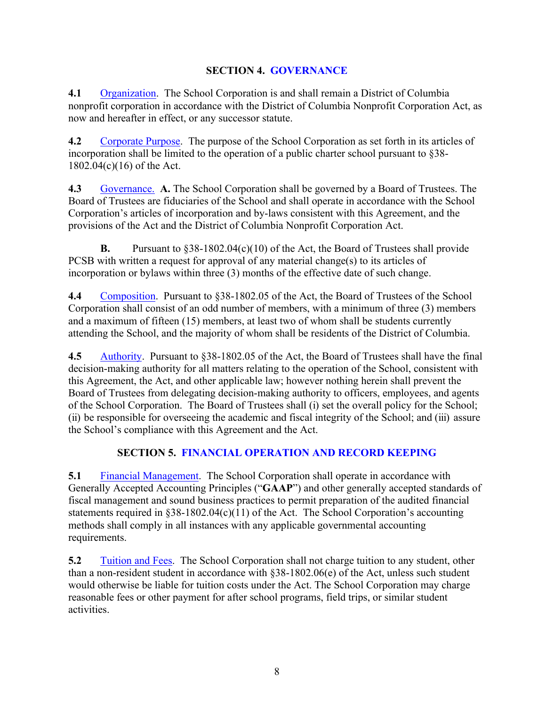### **SECTION 4. GOVERNANCE**

**4.1** Organization. The School Corporation is and shall remain a District of Columbia nonprofit corporation in accordance with the District of Columbia Nonprofit Corporation Act, as now and hereafter in effect, or any successor statute.

**4.2** Corporate Purpose.The purpose of the School Corporation as set forth in its articles of incorporation shall be limited to the operation of a public charter school pursuant to §38- 1802.04(c)(16) of the Act.

**4.3** Governance. **A.** The School Corporation shall be governed by a Board of Trustees. The Board of Trustees are fiduciaries of the School and shall operate in accordance with the School Corporation's articles of incorporation and by-laws consistent with this Agreement, and the provisions of the Act and the District of Columbia Nonprofit Corporation Act.

**B.** Pursuant to §38-1802.04(c)(10) of the Act, the Board of Trustees shall provide PCSB with written a request for approval of any material change(s) to its articles of incorporation or bylaws within three (3) months of the effective date of such change.

**4.4** Composition. Pursuant to §38-1802.05 of the Act, the Board of Trustees of the School Corporation shall consist of an odd number of members, with a minimum of three (3) members and a maximum of fifteen (15) members, at least two of whom shall be students currently attending the School, and the majority of whom shall be residents of the District of Columbia.

**4.5** Authority. Pursuant to §38-1802.05 of the Act, the Board of Trustees shall have the final decision-making authority for all matters relating to the operation of the School, consistent with this Agreement, the Act, and other applicable law; however nothing herein shall prevent the Board of Trustees from delegating decision-making authority to officers, employees, and agents of the School Corporation. The Board of Trustees shall (i) set the overall policy for the School; (ii) be responsible for overseeing the academic and fiscal integrity of the School; and (iii) assure the School's compliance with this Agreement and the Act.

### **SECTION 5. FINANCIAL OPERATION AND RECORD KEEPING**

**5.1** Financial Management. The School Corporation shall operate in accordance with Generally Accepted Accounting Principles ("**GAAP**") and other generally accepted standards of fiscal management and sound business practices to permit preparation of the audited financial statements required in §38-1802.04(c)(11) of the Act. The School Corporation's accounting methods shall comply in all instances with any applicable governmental accounting requirements.

**5.2** Tuition and Fees. The School Corporation shall not charge tuition to any student, other than a non-resident student in accordance with §38-1802.06(e) of the Act, unless such student would otherwise be liable for tuition costs under the Act. The School Corporation may charge reasonable fees or other payment for after school programs, field trips, or similar student activities.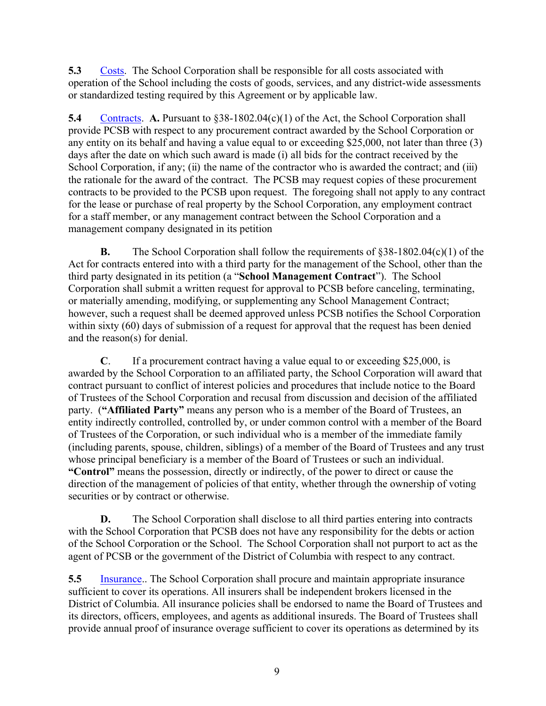**5.3** Costs. The School Corporation shall be responsible for all costs associated with operation of the School including the costs of goods, services, and any district-wide assessments or standardized testing required by this Agreement or by applicable law.

**5.4** Contracts. **A.** Pursuant to §38-1802.04(c)(1) of the Act, the School Corporation shall provide PCSB with respect to any procurement contract awarded by the School Corporation or any entity on its behalf and having a value equal to or exceeding \$25,000, not later than three (3) days after the date on which such award is made (i) all bids for the contract received by the School Corporation, if any; (ii) the name of the contractor who is awarded the contract; and (iii) the rationale for the award of the contract. The PCSB may request copies of these procurement contracts to be provided to the PCSB upon request. The foregoing shall not apply to any contract for the lease or purchase of real property by the School Corporation, any employment contract for a staff member, or any management contract between the School Corporation and a management company designated in its petition

**B.** The School Corporation shall follow the requirements of §38-1802.04(c)(1) of the Act for contracts entered into with a third party for the management of the School, other than the third party designated in its petition (a "**School Management Contract**"). The School Corporation shall submit a written request for approval to PCSB before canceling, terminating, or materially amending, modifying, or supplementing any School Management Contract; however, such a request shall be deemed approved unless PCSB notifies the School Corporation within sixty (60) days of submission of a request for approval that the request has been denied and the reason(s) for denial.

**C**. If a procurement contract having a value equal to or exceeding \$25,000, is awarded by the School Corporation to an affiliated party, the School Corporation will award that contract pursuant to conflict of interest policies and procedures that include notice to the Board of Trustees of the School Corporation and recusal from discussion and decision of the affiliated party. (**"Affiliated Party"** means any person who is a member of the Board of Trustees, an entity indirectly controlled, controlled by, or under common control with a member of the Board of Trustees of the Corporation, or such individual who is a member of the immediate family (including parents, spouse, children, siblings) of a member of the Board of Trustees and any trust whose principal beneficiary is a member of the Board of Trustees or such an individual. **"Control"** means the possession, directly or indirectly, of the power to direct or cause the direction of the management of policies of that entity, whether through the ownership of voting securities or by contract or otherwise.

**D.** The School Corporation shall disclose to all third parties entering into contracts with the School Corporation that PCSB does not have any responsibility for the debts or action of the School Corporation or the School. The School Corporation shall not purport to act as the agent of PCSB or the government of the District of Columbia with respect to any contract.

**5.5** Insurance.. The School Corporation shall procure and maintain appropriate insurance sufficient to cover its operations. All insurers shall be independent brokers licensed in the District of Columbia. All insurance policies shall be endorsed to name the Board of Trustees and its directors, officers, employees, and agents as additional insureds. The Board of Trustees shall provide annual proof of insurance overage sufficient to cover its operations as determined by its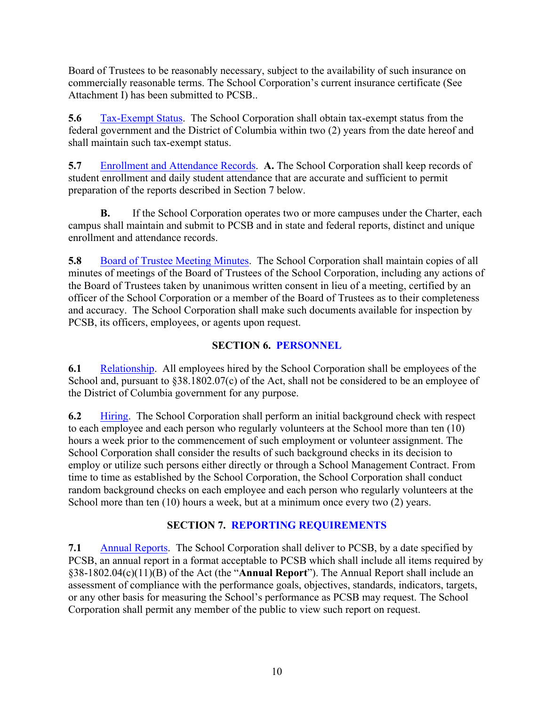Board of Trustees to be reasonably necessary, subject to the availability of such insurance on commercially reasonable terms. The School Corporation's current insurance certificate (See Attachment I) has been submitted to PCSB..

**5.6** Tax-Exempt Status.The School Corporation shall obtain tax-exempt status from the federal government and the District of Columbia within two (2) years from the date hereof and shall maintain such tax-exempt status.

**5.7** Enrollment and Attendance Records. **A.** The School Corporation shall keep records of student enrollment and daily student attendance that are accurate and sufficient to permit preparation of the reports described in Section 7 below.

**B.** If the School Corporation operates two or more campuses under the Charter, each campus shall maintain and submit to PCSB and in state and federal reports, distinct and unique enrollment and attendance records.

**5.8** Board of Trustee Meeting Minutes. The School Corporation shall maintain copies of all minutes of meetings of the Board of Trustees of the School Corporation, including any actions of the Board of Trustees taken by unanimous written consent in lieu of a meeting, certified by an officer of the School Corporation or a member of the Board of Trustees as to their completeness and accuracy. The School Corporation shall make such documents available for inspection by PCSB, its officers, employees, or agents upon request.

### **SECTION 6. PERSONNEL**

**6.1** Relationship. All employees hired by the School Corporation shall be employees of the School and, pursuant to §38.1802.07(c) of the Act, shall not be considered to be an employee of the District of Columbia government for any purpose.

**6.2** Hiring. The School Corporation shall perform an initial background check with respect to each employee and each person who regularly volunteers at the School more than ten (10) hours a week prior to the commencement of such employment or volunteer assignment. The School Corporation shall consider the results of such background checks in its decision to employ or utilize such persons either directly or through a School Management Contract. From time to time as established by the School Corporation, the School Corporation shall conduct random background checks on each employee and each person who regularly volunteers at the School more than ten (10) hours a week, but at a minimum once every two (2) years.

### **SECTION 7. REPORTING REQUIREMENTS**

**7.1** Annual Reports. The School Corporation shall deliver to PCSB, by a date specified by PCSB, an annual report in a format acceptable to PCSB which shall include all items required by §38-1802.04(c)(11)(B) of the Act (the "**Annual Report**"). The Annual Report shall include an assessment of compliance with the performance goals, objectives, standards, indicators, targets, or any other basis for measuring the School's performance as PCSB may request. The School Corporation shall permit any member of the public to view such report on request.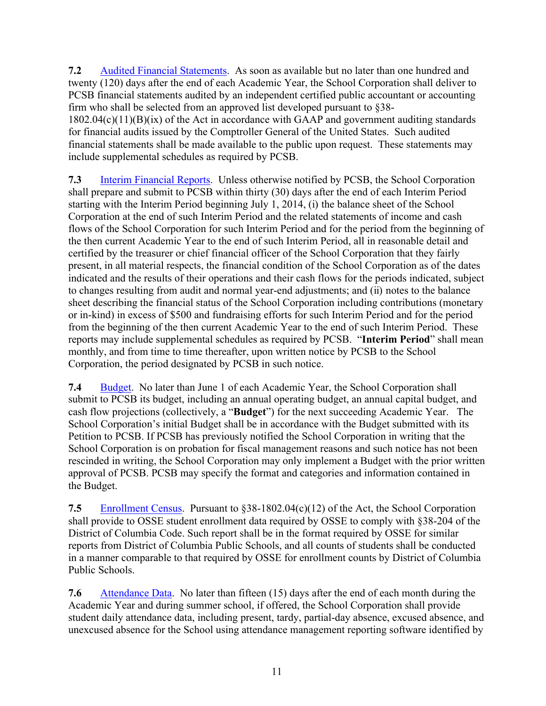**7.2** Audited Financial Statements. As soon as available but no later than one hundred and twenty (120) days after the end of each Academic Year, the School Corporation shall deliver to PCSB financial statements audited by an independent certified public accountant or accounting firm who shall be selected from an approved list developed pursuant to §38- 1802.04(c)(11)(B)(ix) of the Act in accordance with GAAP and government auditing standards for financial audits issued by the Comptroller General of the United States. Such audited financial statements shall be made available to the public upon request. These statements may include supplemental schedules as required by PCSB.

**7.3** Interim Financial Reports. Unless otherwise notified by PCSB, the School Corporation shall prepare and submit to PCSB within thirty (30) days after the end of each Interim Period starting with the Interim Period beginning July 1, 2014, (i) the balance sheet of the School Corporation at the end of such Interim Period and the related statements of income and cash flows of the School Corporation for such Interim Period and for the period from the beginning of the then current Academic Year to the end of such Interim Period, all in reasonable detail and certified by the treasurer or chief financial officer of the School Corporation that they fairly present, in all material respects, the financial condition of the School Corporation as of the dates indicated and the results of their operations and their cash flows for the periods indicated, subject to changes resulting from audit and normal year-end adjustments; and (ii) notes to the balance sheet describing the financial status of the School Corporation including contributions (monetary or in-kind) in excess of \$500 and fundraising efforts for such Interim Period and for the period from the beginning of the then current Academic Year to the end of such Interim Period. These reports may include supplemental schedules as required by PCSB. "**Interim Period**" shall mean monthly, and from time to time thereafter, upon written notice by PCSB to the School Corporation, the period designated by PCSB in such notice.

**7.4** Budget. No later than June 1 of each Academic Year, the School Corporation shall submit to PCSB its budget, including an annual operating budget, an annual capital budget, and cash flow projections (collectively, a "**Budget**") for the next succeeding Academic Year. The School Corporation's initial Budget shall be in accordance with the Budget submitted with its Petition to PCSB. If PCSB has previously notified the School Corporation in writing that the School Corporation is on probation for fiscal management reasons and such notice has not been rescinded in writing, the School Corporation may only implement a Budget with the prior written approval of PCSB. PCSB may specify the format and categories and information contained in the Budget.

**7.5** Enrollment Census.Pursuant to §38-1802.04(c)(12) of the Act, the School Corporation shall provide to OSSE student enrollment data required by OSSE to comply with §38-204 of the District of Columbia Code. Such report shall be in the format required by OSSE for similar reports from District of Columbia Public Schools, and all counts of students shall be conducted in a manner comparable to that required by OSSE for enrollment counts by District of Columbia Public Schools.

**7.6** Attendance Data. No later than fifteen (15) days after the end of each month during the Academic Year and during summer school, if offered, the School Corporation shall provide student daily attendance data, including present, tardy, partial-day absence, excused absence, and unexcused absence for the School using attendance management reporting software identified by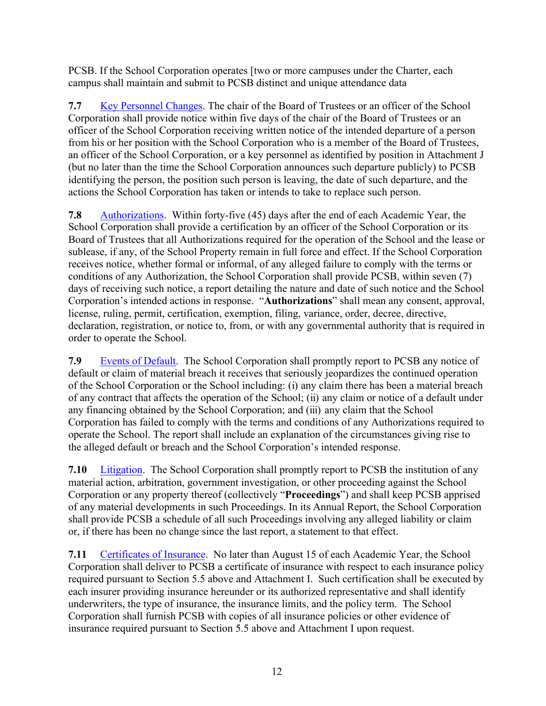PCSB. If the School Corporation operates [two or more campuses under the Charter, each campus shall maintain and submit to PCSB distinct and unique attendance data

**7.7** Key Personnel Changes. The chair of the Board of Trustees or an officer of the School Corporation shall provide notice within five days of the chair of the Board of Trustees or an officer of the School Corporation receiving written notice of the intended departure of a person from his or her position with the School Corporation who is a member of the Board of Trustees, an officer of the School Corporation, or a key personnel as identified by position in Attachment J (but no later than the time the School Corporation announces such departure publicly) to PCSB identifying the person, the position such person is leaving, the date of such departure, and the actions the School Corporation has taken or intends to take to replace such person.

**7.8** Authorizations. Within forty-five (45) days after the end of each Academic Year, the School Corporation shall provide a certification by an officer of the School Corporation or its Board of Trustees that all Authorizations required for the operation of the School and the lease or sublease, if any, of the School Property remain in full force and effect. If the School Corporation receives notice, whether formal or informal, of any alleged failure to comply with the terms or conditions of any Authorization, the School Corporation shall provide PCSB, within seven (7) days of receiving such notice, a report detailing the nature and date of such notice and the School Corporation's intended actions in response. "**Authorizations**" shall mean any consent, approval, license, ruling, permit, certification, exemption, filing, variance, order, decree, directive, declaration, registration, or notice to, from, or with any governmental authority that is required in order to operate the School.

**7.9** Events of Default. The School Corporation shall promptly report to PCSB any notice of default or claim of material breach it receives that seriously jeopardizes the continued operation of the School Corporation or the School including: (i) any claim there has been a material breach of any contract that affects the operation of the School; (ii) any claim or notice of a default under any financing obtained by the School Corporation; and (iii) any claim that the School Corporation has failed to comply with the terms and conditions of any Authorizations required to operate the School. The report shall include an explanation of the circumstances giving rise to the alleged default or breach and the School Corporation's intended response.

**7.10** Litigation. The School Corporation shall promptly report to PCSB the institution of any material action, arbitration, government investigation, or other proceeding against the School Corporation or any property thereof (collectively "**Proceedings**") and shall keep PCSB apprised of any material developments in such Proceedings. In its Annual Report, the School Corporation shall provide PCSB a schedule of all such Proceedings involving any alleged liability or claim or, if there has been no change since the last report, a statement to that effect.

**7.11** Certificates of Insurance. No later than August 15 of each Academic Year, the School Corporation shall deliver to PCSB a certificate of insurance with respect to each insurance policy required pursuant to Section 5.5 above and Attachment I. Such certification shall be executed by each insurer providing insurance hereunder or its authorized representative and shall identify underwriters, the type of insurance, the insurance limits, and the policy term. The School Corporation shall furnish PCSB with copies of all insurance policies or other evidence of insurance required pursuant to Section 5.5 above and Attachment I upon request.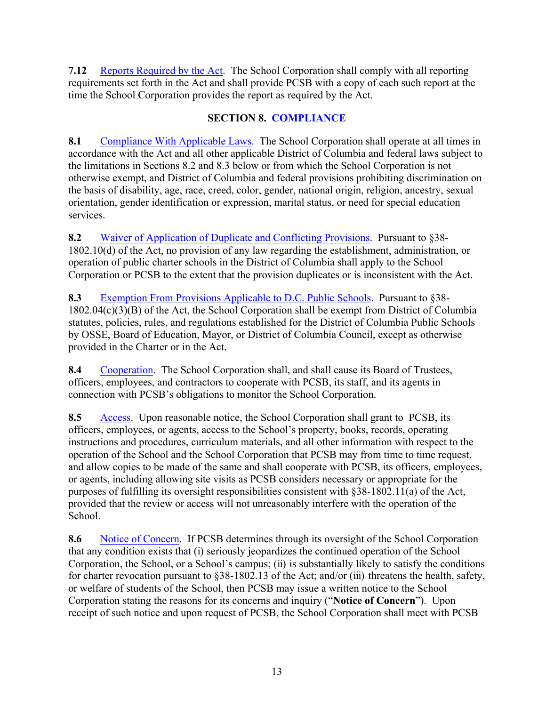**7.12** Reports Required by the Act. The School Corporation shall comply with all reporting requirements set forth in the Act and shall provide PCSB with a copy of each such report at the time the School Corporation provides the report as required by the Act.

### **SECTION 8. COMPLIANCE**

**8.1** Compliance With Applicable Laws. The School Corporation shall operate at all times in accordance with the Act and all other applicable District of Columbia and federal laws subject to the limitations in Sections 8.2 and 8.3 below or from which the School Corporation is not otherwise exempt, and District of Columbia and federal provisions prohibiting discrimination on the basis of disability, age, race, creed, color, gender, national origin, religion, ancestry, sexual orientation, gender identification or expression, marital status, or need for special education services.

**8.2** Waiver of Application of Duplicate and Conflicting Provisions. Pursuant to §38- 1802.10(d) of the Act, no provision of any law regarding the establishment, administration, or operation of public charter schools in the District of Columbia shall apply to the School Corporation or PCSB to the extent that the provision duplicates or is inconsistent with the Act.

**8.3** Exemption From Provisions Applicable to D.C. Public Schools. Pursuant to §38- 1802.04(c)(3)(B) of the Act, the School Corporation shall be exempt from District of Columbia statutes, policies, rules, and regulations established for the District of Columbia Public Schools by OSSE, Board of Education, Mayor, or District of Columbia Council, except as otherwise provided in the Charter or in the Act.

**8.4** Cooperation. The School Corporation shall, and shall cause its Board of Trustees, officers, employees, and contractors to cooperate with PCSB, its staff, and its agents in connection with PCSB's obligations to monitor the School Corporation.

**8.5** Access. Upon reasonable notice, the School Corporation shall grant to PCSB, its officers, employees, or agents, access to the School's property, books, records, operating instructions and procedures, curriculum materials, and all other information with respect to the operation of the School and the School Corporation that PCSB may from time to time request, and allow copies to be made of the same and shall cooperate with PCSB, its officers, employees, or agents, including allowing site visits as PCSB considers necessary or appropriate for the purposes of fulfilling its oversight responsibilities consistent with §38-1802.11(a) of the Act, provided that the review or access will not unreasonably interfere with the operation of the School.

8.6 Notice of Concern. If PCSB determines through its oversight of the School Corporation that any condition exists that (i) seriously jeopardizes the continued operation of the School Corporation, the School, or a School's campus; (ii) is substantially likely to satisfy the conditions for charter revocation pursuant to §38-1802.13 of the Act; and/or (iii) threatens the health, safety, or welfare of students of the School, then PCSB may issue a written notice to the School Corporation stating the reasons for its concerns and inquiry ("**Notice of Concern**"). Upon receipt of such notice and upon request of PCSB, the School Corporation shall meet with PCSB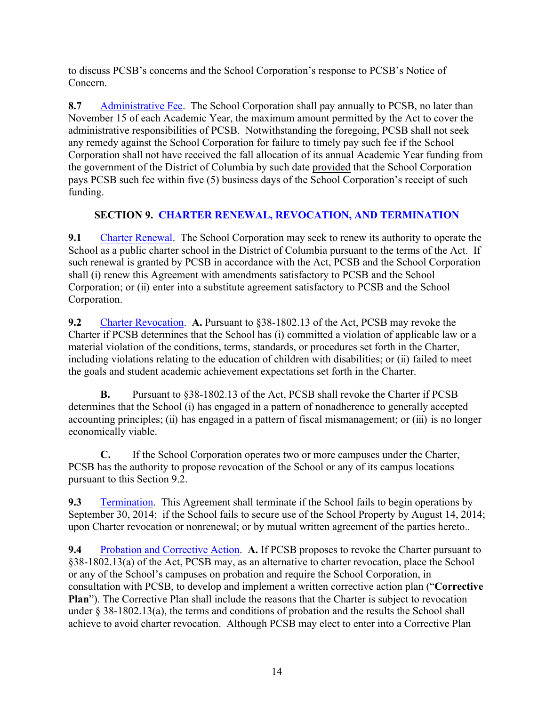to discuss PCSB's concerns and the School Corporation's response to PCSB's Notice of Concern.

**8.7** Administrative Fee. The School Corporation shall pay annually to PCSB, no later than November 15 of each Academic Year, the maximum amount permitted by the Act to cover the administrative responsibilities of PCSB. Notwithstanding the foregoing, PCSB shall not seek any remedy against the School Corporation for failure to timely pay such fee if the School Corporation shall not have received the fall allocation of its annual Academic Year funding from the government of the District of Columbia by such date provided that the School Corporation pays PCSB such fee within five (5) business days of the School Corporation's receipt of such funding.

### **SECTION 9. CHARTER RENEWAL, REVOCATION, AND TERMINATION**

**9.1** Charter Renewal. The School Corporation may seek to renew its authority to operate the School as a public charter school in the District of Columbia pursuant to the terms of the Act. If such renewal is granted by PCSB in accordance with the Act, PCSB and the School Corporation shall (i) renew this Agreement with amendments satisfactory to PCSB and the School Corporation; or (ii) enter into a substitute agreement satisfactory to PCSB and the School Corporation.

**9.2** Charter Revocation. **A.** Pursuant to §38-1802.13 of the Act, PCSB may revoke the Charter if PCSB determines that the School has (i) committed a violation of applicable law or a material violation of the conditions, terms, standards, or procedures set forth in the Charter, including violations relating to the education of children with disabilities; or (ii) failed to meet the goals and student academic achievement expectations set forth in the Charter.

**B.** Pursuant to §38-1802.13 of the Act, PCSB shall revoke the Charter if PCSB determines that the School (i) has engaged in a pattern of nonadherence to generally accepted accounting principles; (ii) has engaged in a pattern of fiscal mismanagement; or (iii) is no longer economically viable.

**C.** If the School Corporation operates two or more campuses under the Charter, PCSB has the authority to propose revocation of the School or any of its campus locations pursuant to this Section 9.2.

**9.3** Termination. This Agreement shall terminate if the School fails to begin operations by September 30, 2014; if the School fails to secure use of the School Property by August 14, 2014; upon Charter revocation or nonrenewal; or by mutual written agreement of the parties hereto..

**9.4** Probation and Corrective Action. **A.** If PCSB proposes to revoke the Charter pursuant to §38-1802.13(a) of the Act, PCSB may, as an alternative to charter revocation, place the School or any of the School's campuses on probation and require the School Corporation, in consultation with PCSB, to develop and implement a written corrective action plan ("**Corrective Plan**"). The Corrective Plan shall include the reasons that the Charter is subject to revocation under § 38-1802.13(a), the terms and conditions of probation and the results the School shall achieve to avoid charter revocation. Although PCSB may elect to enter into a Corrective Plan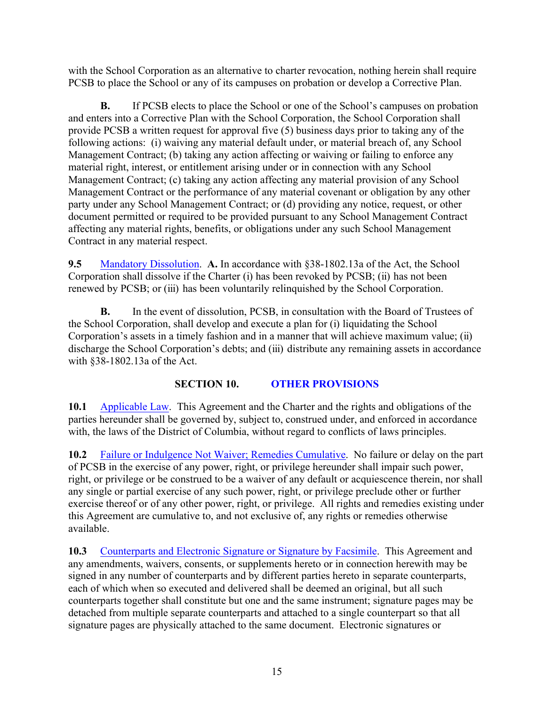with the School Corporation as an alternative to charter revocation, nothing herein shall require PCSB to place the School or any of its campuses on probation or develop a Corrective Plan.

**B.** If PCSB elects to place the School or one of the School's campuses on probation and enters into a Corrective Plan with the School Corporation, the School Corporation shall provide PCSB a written request for approval five (5) business days prior to taking any of the following actions: (i) waiving any material default under, or material breach of, any School Management Contract; (b) taking any action affecting or waiving or failing to enforce any material right, interest, or entitlement arising under or in connection with any School Management Contract; (c) taking any action affecting any material provision of any School Management Contract or the performance of any material covenant or obligation by any other party under any School Management Contract; or (d) providing any notice, request, or other document permitted or required to be provided pursuant to any School Management Contract affecting any material rights, benefits, or obligations under any such School Management Contract in any material respect.

**9.5** Mandatory Dissolution. **A.** In accordance with §38-1802.13a of the Act, the School Corporation shall dissolve if the Charter (i) has been revoked by PCSB; (ii) has not been renewed by PCSB; or (iii) has been voluntarily relinquished by the School Corporation.

**B.** In the event of dissolution, PCSB, in consultation with the Board of Trustees of the School Corporation, shall develop and execute a plan for (i) liquidating the School Corporation's assets in a timely fashion and in a manner that will achieve maximum value; (ii) discharge the School Corporation's debts; and (iii) distribute any remaining assets in accordance with §38-1802.13a of the Act.

### **SECTION 10. OTHER PROVISIONS**

**10.1** Applicable Law. This Agreement and the Charter and the rights and obligations of the parties hereunder shall be governed by, subject to, construed under, and enforced in accordance with, the laws of the District of Columbia, without regard to conflicts of laws principles.

**10.2** Failure or Indulgence Not Waiver; Remedies Cumulative. No failure or delay on the part of PCSB in the exercise of any power, right, or privilege hereunder shall impair such power, right, or privilege or be construed to be a waiver of any default or acquiescence therein, nor shall any single or partial exercise of any such power, right, or privilege preclude other or further exercise thereof or of any other power, right, or privilege. All rights and remedies existing under this Agreement are cumulative to, and not exclusive of, any rights or remedies otherwise available.

**10.3** Counterparts and Electronic Signature or Signature by Facsimile. This Agreement and any amendments, waivers, consents, or supplements hereto or in connection herewith may be signed in any number of counterparts and by different parties hereto in separate counterparts, each of which when so executed and delivered shall be deemed an original, but all such counterparts together shall constitute but one and the same instrument; signature pages may be detached from multiple separate counterparts and attached to a single counterpart so that all signature pages are physically attached to the same document. Electronic signatures or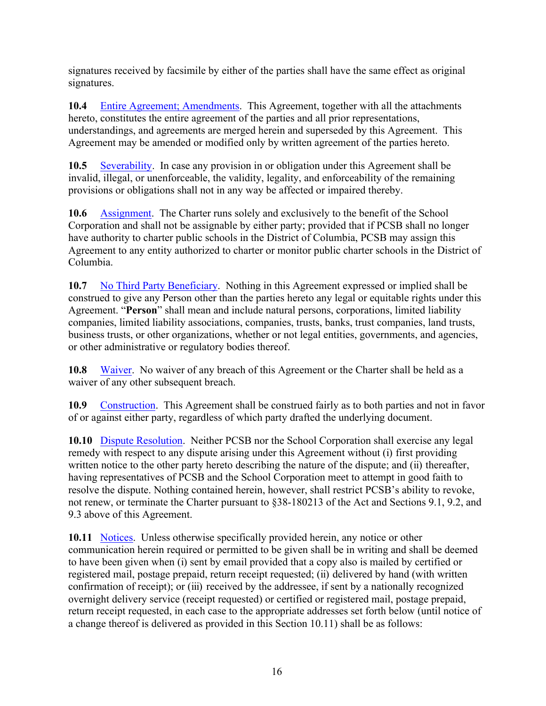signatures received by facsimile by either of the parties shall have the same effect as original signatures.

**10.4** Entire Agreement; Amendments. This Agreement, together with all the attachments hereto, constitutes the entire agreement of the parties and all prior representations, understandings, and agreements are merged herein and superseded by this Agreement. This Agreement may be amended or modified only by written agreement of the parties hereto.

**10.5** Severability. In case any provision in or obligation under this Agreement shall be invalid, illegal, or unenforceable, the validity, legality, and enforceability of the remaining provisions or obligations shall not in any way be affected or impaired thereby.

**10.6** Assignment. The Charter runs solely and exclusively to the benefit of the School Corporation and shall not be assignable by either party; provided that if PCSB shall no longer have authority to charter public schools in the District of Columbia, PCSB may assign this Agreement to any entity authorized to charter or monitor public charter schools in the District of Columbia.

**10.7** No Third Party Beneficiary. Nothing in this Agreement expressed or implied shall be construed to give any Person other than the parties hereto any legal or equitable rights under this Agreement. "**Person**" shall mean and include natural persons, corporations, limited liability companies, limited liability associations, companies, trusts, banks, trust companies, land trusts, business trusts, or other organizations, whether or not legal entities, governments, and agencies, or other administrative or regulatory bodies thereof.

**10.8** Waiver. No waiver of any breach of this Agreement or the Charter shall be held as a waiver of any other subsequent breach.

**10.9** Construction. This Agreement shall be construed fairly as to both parties and not in favor of or against either party, regardless of which party drafted the underlying document.

**10.10** Dispute Resolution. Neither PCSB nor the School Corporation shall exercise any legal remedy with respect to any dispute arising under this Agreement without (i) first providing written notice to the other party hereto describing the nature of the dispute; and (ii) thereafter, having representatives of PCSB and the School Corporation meet to attempt in good faith to resolve the dispute. Nothing contained herein, however, shall restrict PCSB's ability to revoke, not renew, or terminate the Charter pursuant to §38-180213 of the Act and Sections 9.1, 9.2, and 9.3 above of this Agreement.

**10.11** Notices. Unless otherwise specifically provided herein, any notice or other communication herein required or permitted to be given shall be in writing and shall be deemed to have been given when (i) sent by email provided that a copy also is mailed by certified or registered mail, postage prepaid, return receipt requested; (ii) delivered by hand (with written confirmation of receipt); or (iii) received by the addressee, if sent by a nationally recognized overnight delivery service (receipt requested) or certified or registered mail, postage prepaid, return receipt requested, in each case to the appropriate addresses set forth below (until notice of a change thereof is delivered as provided in this Section 10.11) shall be as follows: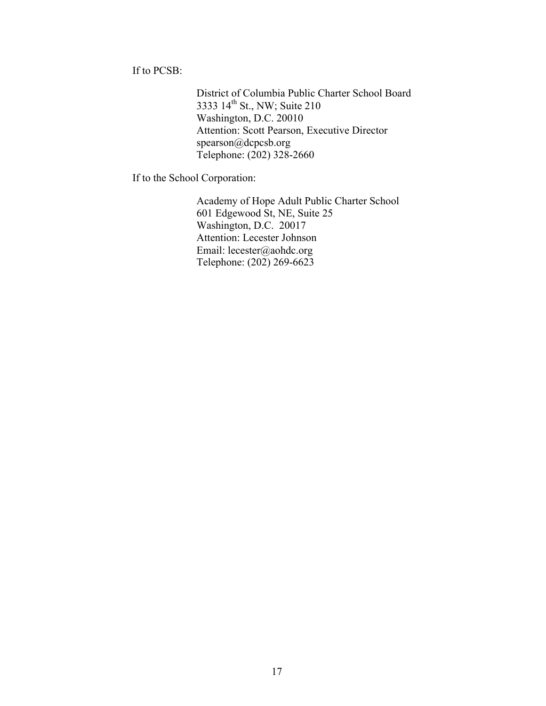If to PCSB:

District of Columbia Public Charter School Board 3333 14<sup>th</sup> St., NW; Suite 210 Washington, D.C. 20010 Attention: Scott Pearson, Executive Director spearson@dcpcsb.org Telephone: (202) 328-2660

If to the School Corporation:

Academy of Hope Adult Public Charter School 601 Edgewood St, NE, Suite 25 Washington, D.C. 20017 Attention: Lecester Johnson Email: lecester@aohdc.org Telephone: (202) 269-6623